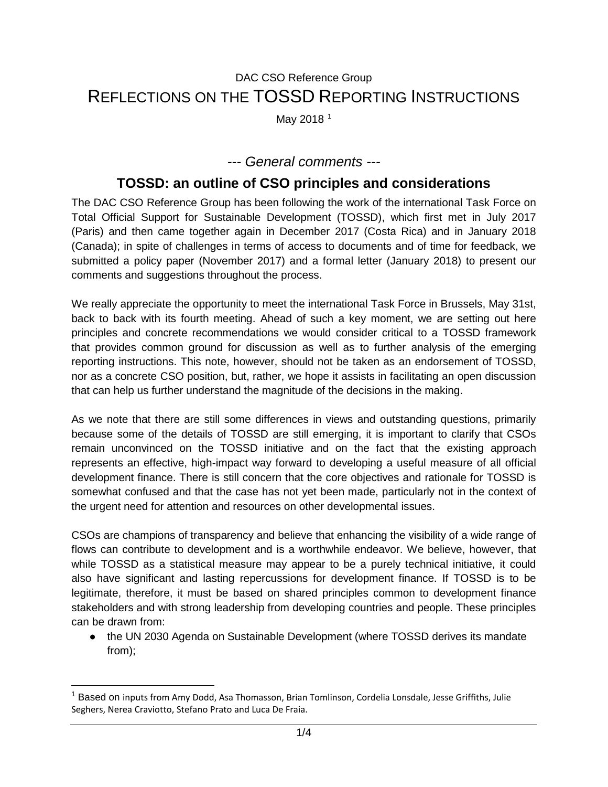# DAC CSO Reference Group REFLECTIONS ON THE TOSSD REPORTING INSTRUCTIONS

May 20[1](#page-0-0)8<sup>1</sup>

#### *--- General comments ---*

## **TOSSD: an outline of CSO principles and considerations**

The DAC CSO Reference Group has been following the work of the international Task Force on Total Official Support for Sustainable Development (TOSSD), which first met in July 2017 (Paris) and then came together again in December 2017 (Costa Rica) and in January 2018 (Canada); in spite of challenges in terms of access to documents and of time for feedback, we submitted [a](https://drive.google.com/drive/folders/1S2bdZnUtTG9BpQfP-84x7VOKw8GgRvMa) [policy paper](https://drive.google.com/drive/folders/1S2bdZnUtTG9BpQfP-84x7VOKw8GgRvMa) (November 2017) and [a](https://drive.google.com/drive/folders/1S2bdZnUtTG9BpQfP-84x7VOKw8GgRvMa) [formal letter](https://drive.google.com/drive/folders/1S2bdZnUtTG9BpQfP-84x7VOKw8GgRvMa) (January 2018) to present our comments and suggestions throughout the process.

We really appreciate the opportunity to meet the international Task Force in Brussels, May 31st, back to back with its fourth meeting. Ahead of such a key moment, we are setting out here principles and concrete recommendations we would consider critical to a TOSSD framework that provides common ground for discussion as well as to further analysis of the emerging reporting instructions. This note, however, should not be taken as an endorsement of TOSSD, nor as a concrete CSO position, but, rather, we hope it assists in facilitating an open discussion that can help us further understand the magnitude of the decisions in the making.

As we note that there are still some differences in views and outstanding questions, primarily because some of the details of TOSSD are still emerging, it is important to clarify that CSOs remain unconvinced on the TOSSD initiative and on the fact that the existing approach represents an effective, high-impact way forward to developing a useful measure of all official development finance. There is still concern that the core objectives and rationale for TOSSD is somewhat confused and that the case has not yet been made, particularly not in the context of the urgent need for attention and resources on other developmental issues.

CSOs are champions of transparency and believe that enhancing the visibility of a wide range of flows can contribute to development and is a worthwhile endeavor. We believe, however, that while TOSSD as a statistical measure may appear to be a purely technical initiative, it could also have significant and lasting repercussions for development finance. If TOSSD is to be legitimate, therefore, it must be based on shared principles common to development finance stakeholders and with strong leadership from developing countries and people. These principles can be drawn from:

● the UN 2030 Agenda on Sustainable Development (where TOSSD derives its mandate from);

<span id="page-0-0"></span> <sup>1</sup> Based on inputs from Amy Dodd, Asa Thomasson, Brian Tomlinson, Cordelia Lonsdale, Jesse Griffiths, Julie Seghers, Nerea Craviotto, Stefano Prato and Luca De Fraia.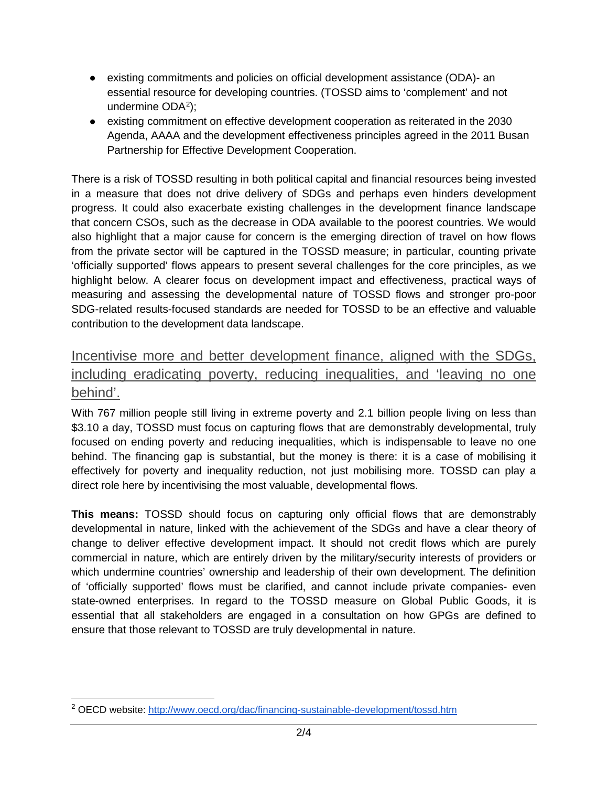- existing commitments and policies on official development assistance (ODA)- an essential resource for developing countries. (TOSSD aims to 'complement' and not undermine ODA<sup>2</sup>);
- existing commitment on effective development cooperation as reiterated in the 2030 Agenda, AAAA and the development effectiveness principles agreed in the 2011 Busan Partnership for Effective Development Cooperation.

There is a risk of TOSSD resulting in both political capital and financial resources being invested in a measure that does not drive delivery of SDGs and perhaps even hinders development progress. It could also exacerbate existing challenges in the development finance landscape that concern CSOs, such as the decrease in ODA available to the poorest countries. We would also highlight that a major cause for concern is the emerging direction of travel on how flows from the private sector will be captured in the TOSSD measure; in particular, counting private 'officially supported' flows appears to present several challenges for the core principles, as we highlight below. A clearer focus on development impact and effectiveness, practical ways of measuring and assessing the developmental nature of TOSSD flows and stronger pro-poor SDG-related results-focused standards are needed for TOSSD to be an effective and valuable contribution to the development data landscape.

## Incentivise more and better development finance, aligned with the SDGs, including eradicating poverty, reducing inequalities, and 'leaving no one behind'.

With 767 million people still living in extreme poverty and 2.1 billion people living on less than \$3.10 a day, TOSSD must focus on capturing flows that are demonstrably developmental, truly focused on ending poverty and reducing inequalities, which is indispensable to leave no one behind. The financing gap is substantial, but the money is there: it is a case of mobilising it effectively for poverty and inequality reduction, not just mobilising more. TOSSD can play a direct role here by incentivising the most valuable, developmental flows.

**This means:** TOSSD should focus on capturing only official flows that are demonstrably developmental in nature, linked with the achievement of the SDGs and have a clear theory of change to deliver effective development impact. It should not credit flows which are purely commercial in nature, which are entirely driven by the military/security interests of providers or which undermine countries' ownership and leadership of their own development. The definition of 'officially supported' flows must be clarified, and cannot include private companies- even state-owned enterprises. In regard to the TOSSD measure on Global Public Goods, it is essential that all stakeholders are engaged in a consultation on how GPGs are defined to ensure that those relevant to TOSSD are truly developmental in nature.

<span id="page-1-0"></span> <sup>2</sup> OECD website:<http://www.oecd.org/dac/financing-sustainable-development/tossd.htm>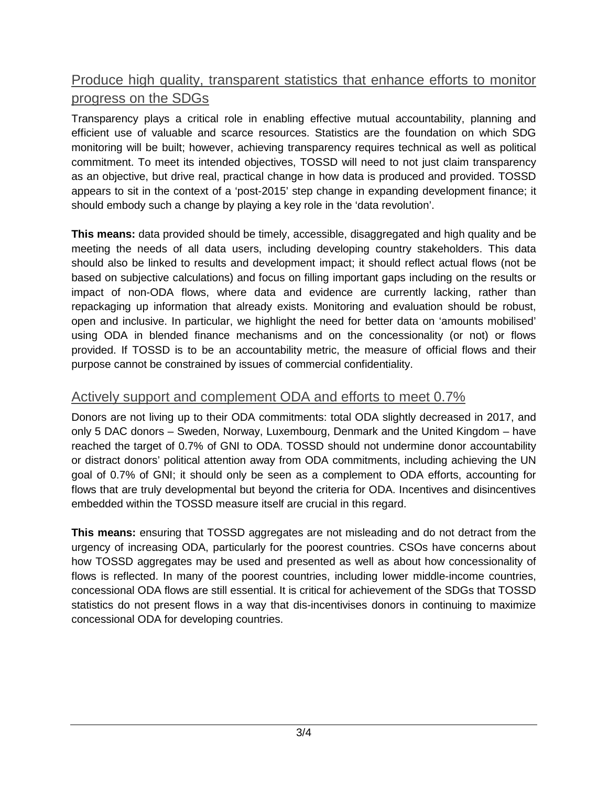# Produce high quality, transparent statistics that enhance efforts to monitor progress on the SDGs

Transparency plays a critical role in enabling effective mutual accountability, planning and efficient use of valuable and scarce resources. Statistics are the foundation on which SDG monitoring will be built; however, achieving transparency requires technical as well as political commitment. To meet its intended objectives, TOSSD will need to not just claim transparency as an objective, but drive real, practical change in how data is produced and provided. TOSSD appears to sit in the context of a 'post-2015' step change in expanding development finance; it should embody such a change by playing a key role in the 'data revolution'.

**This means:** data provided should be timely, accessible, disaggregated and high quality and be meeting the needs of all data users, including developing country stakeholders. This data should also be linked to results and development impact; it should reflect actual flows (not be based on subjective calculations) and focus on filling important gaps including on the results or impact of non-ODA flows, where data and evidence are currently lacking, rather than repackaging up information that already exists. Monitoring and evaluation should be robust, open and inclusive. In particular, we highlight the need for better data on 'amounts mobilised' using ODA in blended finance mechanisms and on the concessionality (or not) or flows provided. If TOSSD is to be an accountability metric, the measure of official flows and their purpose cannot be constrained by issues of commercial confidentiality.

#### Actively support and complement ODA and efforts to meet 0.7%

Donors are not living up to their ODA commitments: total ODA slightly decreased in 2017, and only 5 DAC donors – Sweden, Norway, Luxembourg, Denmark and the United Kingdom – have reached the target of 0.7% of GNI to ODA. TOSSD should not undermine donor accountability or distract donors' political attention away from ODA commitments, including achieving the UN goal of 0.7% of GNI; it should only be seen as a complement to ODA efforts, accounting for flows that are truly developmental but beyond the criteria for ODA. Incentives and disincentives embedded within the TOSSD measure itself are crucial in this regard.

**This means:** ensuring that TOSSD aggregates are not misleading and do not detract from the urgency of increasing ODA, particularly for the poorest countries. CSOs have concerns about how TOSSD aggregates may be used and presented as well as about how concessionality of flows is reflected. In many of the poorest countries, including lower middle-income countries, concessional ODA flows are still essential. It is critical for achievement of the SDGs that TOSSD statistics do not present flows in a way that dis-incentivises donors in continuing to maximize concessional ODA for developing countries.